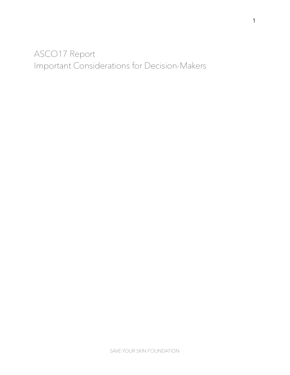# ASCO17 Report Important Considerations for Decision-Makers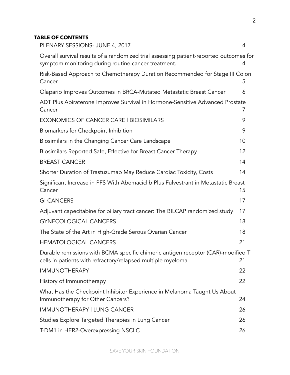### **TABLE OF CONTENTS**

| PLENARY SESSIONS- JUNE 4, 2017                                                                                                                  | 4  |
|-------------------------------------------------------------------------------------------------------------------------------------------------|----|
| Overall survival results of a randomized trial assessing patient-reported outcomes for<br>symptom monitoring during routine cancer treatment.   | 4  |
| Risk-Based Approach to Chemotherapy Duration Recommended for Stage III Colon<br>Cancer                                                          | 5  |
| Olaparib Improves Outcomes in BRCA-Mutated Metastatic Breast Cancer                                                                             | 6  |
| ADT Plus Abiraterone Improves Survival in Hormone-Sensitive Advanced Prostate<br>Cancer                                                         | 7  |
| ECONOMICS OF CANCER CARE   BIOSIMILARS                                                                                                          | 9  |
| Biomarkers for Checkpoint Inhibition                                                                                                            | 9  |
| Biosimilars in the Changing Cancer Care Landscape                                                                                               | 10 |
| Biosimilars Reported Safe, Effective for Breast Cancer Therapy                                                                                  | 12 |
| <b>BREAST CANCER</b>                                                                                                                            | 14 |
| Shorter Duration of Trastuzumab May Reduce Cardiac Toxicity, Costs                                                                              | 14 |
| Significant Increase in PFS With Abemaciclib Plus Fulvestrant in Metastatic Breast<br>Cancer                                                    | 15 |
| <b>GI CANCERS</b>                                                                                                                               | 17 |
| Adjuvant capecitabine for biliary tract cancer: The BILCAP randomized study                                                                     | 17 |
| <b>GYNECOLOGICAL CANCERS</b>                                                                                                                    | 18 |
| The State of the Art in High-Grade Serous Ovarian Cancer                                                                                        | 18 |
| <b>HEMATOLOGICAL CANCERS</b>                                                                                                                    | 21 |
| Durable remissions with BCMA specific chimeric antigen receptor (CAR)-modified T<br>cells in patients with refractory/relapsed multiple myeloma | 21 |
| <b>IMMUNOTHERAPY</b>                                                                                                                            | 22 |
| History of Immunotherapy                                                                                                                        | 22 |
| What Has the Checkpoint Inhibitor Experience in Melanoma Taught Us About<br>Immunotherapy for Other Cancers?                                    | 24 |
| IMMUNOTHERAPY   LUNG CANCER                                                                                                                     | 26 |
| Studies Explore Targeted Therapies in Lung Cancer                                                                                               | 26 |
| T-DM1 in HER2-Overexpressing NSCLC                                                                                                              | 26 |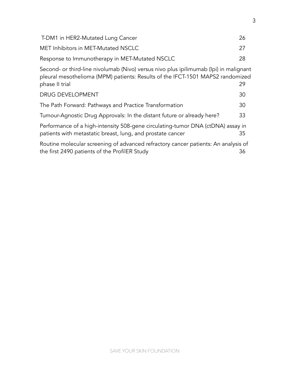| T-DM1 in HER2-Mutated Lung Cancer                                                                                                                                                               | 26 |  |  |
|-------------------------------------------------------------------------------------------------------------------------------------------------------------------------------------------------|----|--|--|
| MET Inhibitors in MET-Mutated NSCLC                                                                                                                                                             | 27 |  |  |
| Response to Immunotherapy in MET-Mutated NSCLC                                                                                                                                                  | 28 |  |  |
| Second- or third-line nivolumab (Nivo) versus nivo plus ipilimumab (Ipi) in malignant<br>pleural mesothelioma (MPM) patients: Results of the IFCT-1501 MAPS2 randomized<br>phase II trial<br>29 |    |  |  |
| <b>DRUG DEVELOPMENT</b>                                                                                                                                                                         | 30 |  |  |
| The Path Forward: Pathways and Practice Transformation                                                                                                                                          | 30 |  |  |
| Tumour-Agnostic Drug Approvals: In the distant future or already here?                                                                                                                          | 33 |  |  |
| Performance of a high-intensity 508-gene circulating-tumor DNA (ctDNA) assay in<br>patients with metastatic breast, lung, and prostate cancer<br>35                                             |    |  |  |
| Routine molecular screening of advanced refractory cancer patients: An analysis of<br>the first 2490 patients of the ProfilER Study                                                             | 36 |  |  |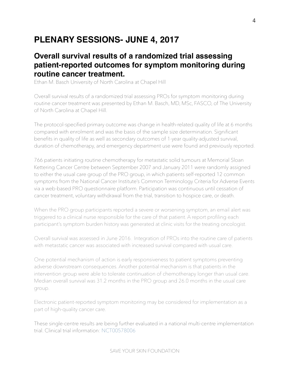# <span id="page-3-0"></span>**PLENARY SESSIONS- JUNE 4, 2017**

### <span id="page-3-1"></span>**Overall survival results of a randomized trial assessing patient-reported outcomes for symptom monitoring during routine cancer treatment.**

Ethan M. Basch University of North Carolina at Chapel Hill

Overall survival results of a randomized trial assessing PROs for symptom monitoring during routine cancer treatment was presented by Ethan M. Basch, MD, MSc, FASCO, of The University of North Carolina at Chapel Hill.

The protocol-specified primary outcome was change in health-related quality of life at 6 months compared with enrolment and was the basis of the sample size determination. Significant benefits in quality of life as well as secondary outcomes of 1-year quality-adjusted survival, duration of chemotherapy, and emergency department use were found and previously reported.

766 patients initiating routine chemotherapy for metastatic solid tumours at Memorial Sloan Kettering Cancer Centre between September 2007 and January 2011 were randomly assigned to either the usual care group of the PRO group, in which patients self-reported 12 common symptoms from the National Cancer Institute's Common Terminology Criteria for Adverse Events via a web-based PRO questionnaire platform. Participation was continuous until cessation of cancer treatment, voluntary withdrawal from the trial, transition to hospice care, or death.

When the PRO group participants reported a severe or worsening symptom, an email alert was triggered to a clinical nurse responsible for the care of that patient. A report profiling each participant's symptom burden history was generated at clinic visits for the treating oncologist.

Overall survival was assessed in June 2016. Integration of PROs into the routine care of patients with metastatic cancer was associated with increased survival compared with usual care.

One potential mechanism of action is early responsiveness to patient symptoms preventing adverse downstream consequences. Another potential mechanism is that patients in the intervention group were able to tolerate continuation of chemotherapy longer than usual care. Median overall survival was 31.2 months in the PRO group and 26.0 months in the usual care group.

Electronic patient-reported symptom monitoring may be considered for implementation as a part of high-quality cancer care.

These single-centre results are being further evaluated in a national multi-centre implementation trial. Clinical trial information: [NCT00578006](http://clinicaltrials.gov/show/NCT00578006)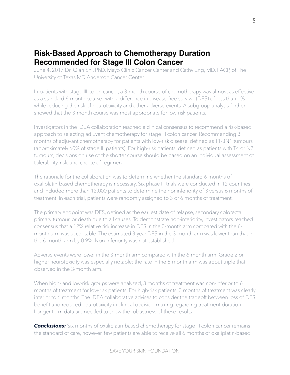## <span id="page-4-0"></span>**Risk-Based Approach to Chemotherapy Duration Recommended for Stage III Colon Cancer**

June 4, 2017 Dr. Qian Shi, PhD, Mayo Clinic Cancer Center and Cathy Eng, MD, FACP, of The University of Texas MD Anderson Cancer Center

In patients with stage III colon cancer, a 3-month course of chemotherapy was almost as effective as a standard 6-month course—with a difference in disease-free survival (DFS) of less than 1% while reducing the risk of neurotoxicity and other adverse events. A subgroup analysis further showed that the 3-month course was most appropriate for low-risk patients.

Investigators in the IDEA collaboration reached a clinical consensus to recommend a risk-based approach to selecting adjuvant chemotherapy for stage III colon cancer. Recommending 3 months of adjuvant chemotherapy for patients with low-risk disease, defined as T1-3N1 tumours (approximately 60% of stage III patients). For high-risk patients, defined as patients with T4 or N2 tumours, decisions on use of the shorter course should be based on an individual assessment of tolerability, risk, and choice of regimen.

The rationale for the collaboration was to determine whether the standard 6 months of oxaliplatin-based chemotherapy is necessary. Six phase III trials were conducted in 12 countries and included more than 12,000 patients to determine the noninferiority of 3 versus 6 months of treatment. In each trial, patients were randomly assigned to 3 or 6 months of treatment.

The primary endpoint was DFS, defined as the earliest date of relapse, secondary colorectal primary tumour, or death due to all causes. To demonstrate non-inferiority, investigators reached consensus that a 12% relative risk increase in DFS in the 3-month arm compared with the 6 month arm was acceptable. The estimated 3-year DFS in the 3-month arm was lower than that in the 6-month arm by 0.9%. Non-inferiority was not established.

Adverse events were lower in the 3-month arm compared with the 6-month arm. Grade 2 or higher neurotoxicity was especially notable; the rate in the 6-month arm was about triple that observed in the 3-month arm.

When high- and low-risk groups were analyzed, 3 months of treatment was non-inferior to 6 months of treatment for low-risk patients. For high-risk patients, 3 months of treatment was clearly inferior to 6 months. The IDEA collaborative advises to consider the tradeoff between loss of DFS benefit and reduced neurotoxicity in clinical decision-making regarding treatment duration. Longer-term data are needed to show the robustness of these results.

**Conclusions:** Six months of oxaliplatin-based chemotherapy for stage III colon cancer remains the standard of care, however, few patients are able to receive all 6 months of oxaliplatin-based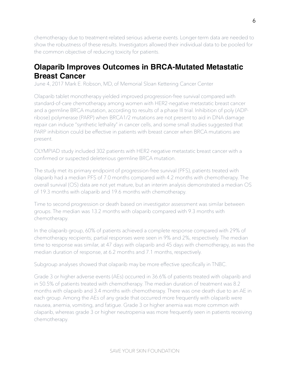chemotherapy due to treatment-related serious adverse events. Longer-term data are needed to show the robustness of these results. Investigators allowed their individual data to be pooled for the common objective of reducing toxicity for patients.

## <span id="page-5-0"></span>**Olaparib Improves Outcomes in BRCA-Mutated Metastatic Breast Cancer**

June 4, 2017 Mark E. Robson, MD, of Memorial Sloan Kettering Cancer Center

Olaparib tablet monotherapy yielded improved progression-free survival compared with standard-of-care chemotherapy among women with HER2-negative metastatic breast cancer and a germline BRCA mutation, according to results of a phase III trial. Inhibition of poly (ADPribose) polymerase (PARP) when BRCA1/2 mutations are not present to aid in DNA damage repair can induce "synthetic lethality" in cancer cells, and some small studies suggested that PARP inhibition could be effective in patients with breast cancer when BRCA mutations are present.

OLYMPIAD study included 302 patients with HER2-negative metastatic breast cancer with a confirmed or suspected deleterious germline BRCA mutation.

The study met its primary endpoint of progression-free survival (PFS), patients treated with olaparib had a median PFS of 7.0 months compared with 4.2 months with chemotherapy. The overall survival (OS) data are not yet mature, but an interim analysis demonstrated a median OS of 19.3 months with olaparib and 19.6 months with chemotherapy.

Time to second progression or death based on investigator assessment was similar between groups. The median was 13.2 months with olaparib compared with 9.3 months with chemotherapy.

In the olaparib group, 60% of patients achieved a complete response compared with 29% of chemotherapy recipients; partial responses were seen in 9% and 2%, respectively. The median time to response was similar, at 47 days with olaparib and 45 days with chemotherapy, as was the median duration of response, at 6.2 months and 7.1 months, respectively.

Subgroup analyses showed that olaparib may be more effective specifically in TNBC.

Grade 3 or higher adverse events (AEs) occurred in 36.6% of patients treated with olaparib and in 50.5% of patients treated with chemotherapy. The median duration of treatment was 8.2 months with olaparib and 3.4 months with chemotherapy. There was one death due to an AE in each group. Among the AEs of any grade that occurred more frequently with olaparib were nausea, anemia, vomiting, and fatigue. Grade 3 or higher anemia was more common with olaparib, whereas grade 3 or higher neutropenia was more frequently seen in patients receiving chemotherapy.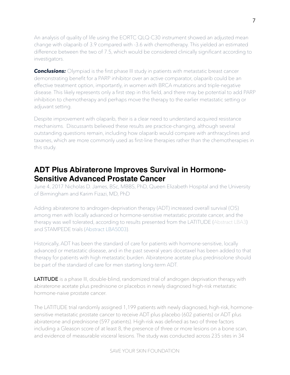An analysis of quality of life using the EORTC QLQ-C30 instrument showed an adjusted mean change with olaparib of 3.9 compared with -3.6 with chemotherapy. This yielded an estimated difference between the two of 7.5, which would be considered clinically significant according to investigators.

**Conclusions:** Olympiad is the first phase III study in patients with metastatic breast cancer demonstrating benefit for a PARP inhibitor over an active comparator, olaparib could be an effective treatment option, importantly, in women with BRCA mutations and triple-negative disease. This likely represents only a first step in this field, and there may be potential to add PARP inhibition to chemotherapy and perhaps move the therapy to the earlier metastatic setting or adjuvant setting.

Despite improvement with olaparib, their is a clear need to understand acquired resistance mechanisms. Discussants believed these results are practice-changing, although several outstanding questions remain, including how olaparib would compare with anthracyclines and taxanes, which are more commonly used as first-line therapies rather than the chemotherapies in this study.

### <span id="page-6-0"></span>**ADT Plus Abiraterone Improves Survival in Hormone-Sensitive Advanced Prostate Cancer**

June 4, 2017 Nicholas D. James, BSc, MBBS, PhD, Queen Elizabeth Hospital and the University of Birmingham and Karim Fizazi, MD, PhD

Adding abiraterone to androgen-deprivation therapy (ADT) increased overall survival (OS) among men with locally advanced or hormone-sensitive metastatic prostate cancer, and the therapy was well tolerated, according to results presented from the LATITUDE ([Abstract LBA3\)](http://meetinglibrary.asco.org/record/152852/abstract) and STAMPEDE trials ([Abstract LBA5003](http://meetinglibrary.asco.org/record/144558/abstract)).

Historically, ADT has been the standard of care for patients with hormone-sensitive, locally advanced or metastatic disease, and in the past several years docetaxel has been added to that therapy for patients with high metastatic burden. Abiraterone acetate plus prednisolone should be part of the standard of care for men starting long-term ADT.

LATITUDE is a phase III, double-blind, randomized trial of androgen deprivation therapy with abiraterone acetate plus prednisone or placebos in newly diagnosed high-risk metastatic hormone-naive prostate cancer.

The LATITUDE trial randomly assigned 1,199 patients with newly diagnosed, high-risk, hormonesensitive metastatic prostate cancer to receive ADT plus placebo (602 patients) or ADT plus abiraterone and prednisone (597 patients). High-risk was defined as two of three factors including a Gleason score of at least 8, the presence of three or more lesions on a bone scan, and evidence of measurable visceral lesions. The study was conducted across 235 sites in 34

SAVE YOUR SKIN FOUNDATION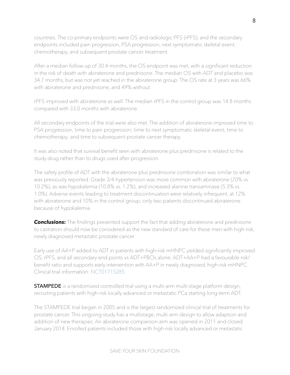countries. The co-primary endpoints were OS and radiologic PFS (rPFS), and the secondary endpoints included pain progression, PSA progression, next symptomatic skeletal event, chemotherapy, and subsequent prostate cancer treatment.

After a median follow-up of 30.4 months, the OS endpoint was met, with a significant reduction in the risk of death with abiraterone and prednisone. The median OS with ADT and placebo was 34.7 months, but was not yet reached in the abiraterone group. The OS rate at 3 years was 66% with abiraterone and prednisone, and 49% without.

rPFS improved with abiraterone as well. The median rPFS in the control group was 14.8 months compared with 33.0 months with abiraterone.

All secondary endpoints of the trial were also met. The addition of abiraterone improved time to PSA progression; time to pain progression; time to next symptomatic skeletal event; time to chemotherapy; and time to subsequent prostate cancer therapy.

It was also noted that survival benefit seen with abiraterone plus prednisone is related to the study drug rather than to drugs used after progression.

The safety profile of ADT with the abiraterone plus prednisone combination was similar to what was previously reported. Grade 3/4 hypertension was more common with abiraterone (20% vs. 10.2%), as was hypokalemia (10.8% vs. 1.2%), and increased alanine transaminase (5.3% vs. 1.0%). Adverse events leading to treatment discontinuation were relatively infrequent, at 12% with abiraterone and 10% in the control group; only two patients discontinued abiraterone because of hypokalemia.

*Conclusions:* The findings presented support the fact that adding abiraterone and prednisone to castration should now be considered as the new standard of care for these men with high-risk, newly diagnosed metastatic prostate cancer

Early use of AA+P added to ADT in patients with high-risk mHNPC yielded significantly improved OS, rPFS, and all secondary end points vs ADT+PBOs alone. ADT+AA+P had a favourable risk/ benefit ratio and supports early intervention with AA+P in newly diagnosed, high-risk mHNPC. Clinical trial information: [NCT01715285](http://clinicaltrials.gov/show/NCT01715285)

**STAMPEDE** is a randomized controlled trial using a multi-arm multi-stage platform design, recruiting patients with high-risk locally advanced or metastatic PCa starting long-term ADT.

The STAMPEDE trial began in 2005 and is the largest randomized clinical trial of treatments for prostate cancer. This ongoing study has a multistage, multi-arm design to allow adaption and addition of new therapies. An abiraterone comparison arm was opened in 2011 and closed January 2014. Enrolled patients included those with high-risk locally advanced or metastatic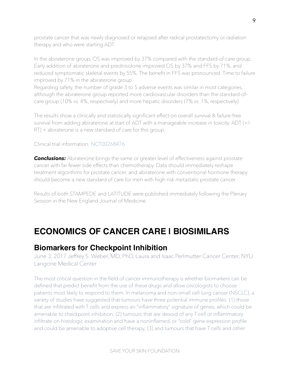prostate cancer that was newly diagnosed or relapsed after radical prostatectomy or radiation therapy and who were starting ADT.

In the abiraterone group, OS was improved by 37% compared with the standard-of-care group. Early addition of abiraterone and prednisolone improved OS by 37% and FFS by 71%, and reduced symptomatic skeletal events by 55%. The benefit in FFS was pronounced. Time to failure improved by 71% in the abiraterone group.

Regarding safety, the number of grade 3 to 5 adverse events was similar in most categories, although the abiraterone group reported more cardiovascular disorders than the standard-ofcare group (10% vs. 4%, respectively) and more hepatic disorders (7% vs. 1%, respectively).

The results show a clinically and statistically significant effect on overall survival & failure-free survival from adding abiraterone at start of ADT with a manageable increase in toxicity. ADT (+/- RT) + abiraterone is a new standard of care for this group.

#### Clinical trial information: [NCT00268476](http://clinicaltrials.gov/show/NCT00268476)

*Conclusions:* Abiraterone brings the same or greater level of effectiveness against prostate cancer with far fewer side effects than chemotherapy. Data should immediately reshape treatment algorithms for prostate cancer, and abiraterone with conventional hormone therapy should become a new standard of care for men with high-risk metastatic prostate cancer.

Results of both STAMPEDE and LATITUDE were published immediately following the Plenary Session in the New England Journal of Medicine.

# <span id="page-8-0"></span>**ECONOMICS OF CANCER CARE | BIOSIMILARS**

### <span id="page-8-1"></span>**Biomarkers for Checkpoint Inhibition**

June 3, 2017 Jeffrey S. Weber, MD, PhD, Laura and Isaac Perlmutter Cancer Center, NYU Langone Medical Center

The most critical question in the field of cancer immunotherapy is whether biomarkers can be defined that predict benefit from the use of these drugs and allow oncologists to choose patients most likely to respond to them. In melanoma and non–small cell lung cancer (NSCLC), a variety of studies have suggested that tumours have three potential immune profiles: (1) those that are infiltrated with T cells and express an "inflammatory" signature of genes, which could be amenable to checkpoint inhibition; (2) tumours that are devoid of any T-cell or inflammatory infiltrate on histologic examination and have a noninflamed, or "cold" gene expression profile and could be amenable to adoptive cell therapy; (3) and tumours that have T cells and other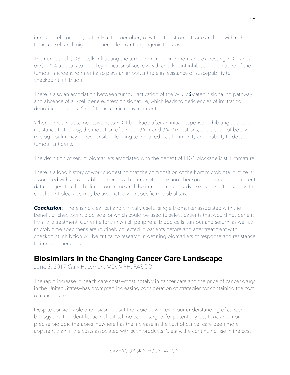immune cells present, but only at the periphery or within the stromal tissue and not within the tumour itself and might be amenable to antiangiogenic therapy.

The number of CD8 T-cells infiltrating the tumour microenvironment and expressing PD-1 and/ or CTLA-4 appears to be a key indicator of success with checkpoint inhibition. The nature of the tumour microenvironment also plays an important role in resistance or susceptibility to checkpoint inhibition.

There is also an association between tumour activation of the WNT/β-catenin signaling pathway and absence of a T-cell gene expression signature, which leads to deficiencies of infiltrating dendritic cells and a "cold" tumour microenvironment.

When tumours become resistant to PD-1 blockade after an initial response, exhibiting adaptive resistance to therapy, the induction of tumour *JAK1* and *JAK2* mutations, or deletion of beta 2 microglobulin may be responsible, leading to impaired T-cell immunity and inability to detect tumour antigens.

The definition of serum biomarkers associated with the benefit of PD-1 blockade is still immature.

There is a long history of work suggesting that the composition of the host microbiota in mice is associated with a favourable outcome with immunotherapy and checkpoint blockade, and recent data suggest that both clinical outcome and the immune-related adverse events often seen with checkpoint blockade may be associated with specific microbial taxa.

**Conclusion**: There is no clear-cut and clinically useful single biomarker associated with the benefit of checkpoint blockade, or which could be used to select patients that would not benefit from this treatment. Current efforts in which peripheral blood cells, tumour and serum, as well as microbiome specimens are routinely collected in patients before and after treatment with checkpoint inhibition will be critical to research in defining biomarkers of response and resistance to immunotherapies.

### <span id="page-9-0"></span>**Biosimilars in the Changing Cancer Care Landscape**

June 3, 2017 [Gary H. Lyman,](http://am.asco.org/sites/am.asco.org/files/AM17-Disclosure-Lyman.pdf) MD, MPH, FASCO

The rapid increase in health care costs—most notably in cancer care and the price of cancer drugs in the United States—has prompted increasing consideration of strategies for containing the cost of cancer care.

Despite considerable enthusiasm about the rapid advances in our understanding of cancer biology and the identification of critical molecular targets for potentially less toxic and more precise biologic therapies, nowhere has the increase in the cost of cancer care been more apparent than in the costs associated with such products. Clearly, the continuing rise in the cost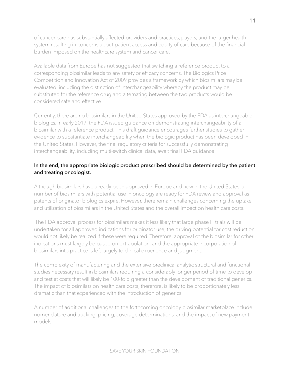of cancer care has substantially affected providers and practices, payers, and the larger health system resulting in concerns about patient access and equity of care because of the financial burden imposed on the healthcare system and cancer care.

Available data from Europe has not suggested that switching a reference product to a corresponding biosimilar leads to any safety or efficacy concerns. The Biologics Price Competition and Innovation Act of 2009 provides a framework by which biosimilars may be evaluated, including the distinction of interchangeability whereby the product may be substituted for the reference drug and alternating between the two products would be considered safe and effective.

Currently, there are no biosimilars in the United States approved by the FDA as interchangeable biologics. In early 2017, the FDA issued guidance on demonstrating interchangeability of a biosimilar with a reference product. This draft guidance encourages further studies to gather evidence to substantiate interchangeability when the biologic product has been developed in the United States. However, the final regulatory criteria for successfully demonstrating interchangeability, including multi-switch clinical data, await final FDA guidance.

#### In the end, the appropriate biologic product prescribed should be determined by the patient and treating oncologist.

Although biosimilars have already been approved in Europe and now in the United States, a number of biosimilars with potential use in oncology are ready for FDA review and approval as patents of originator biologics expire. However, there remain challenges concerning the uptake and utilization of biosimilars in the United States and the overall impact on health care costs.

 The FDA approval process for biosimilars makes it less likely that large phase III trials will be undertaken for all approved indications for originator use, the driving potential for cost reduction would not likely be realized if these were required. Therefore, approval of the biosimilar for other indications must largely be based on extrapolation, and the appropriate incorporation of biosimilars into practice is left largely to clinical experience and judgment.

The complexity of manufacturing and the extensive preclinical analytic structural and functional studies necessary result in biosimilars requiring a considerably longer period of time to develop and test at costs that will likely be 100-fold greater than the development of traditional generics. The impact of biosimilars on health care costs, therefore, is likely to be proportionately less dramatic than that experienced with the introduction of generics.

A number of additional challenges to the forthcoming oncology biosimilar marketplace include nomenclature and tracking, pricing, coverage determinations, and the impact of new payment models.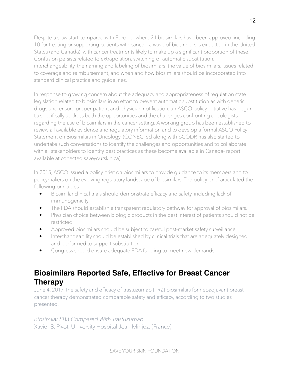Despite a slow start compared with Europe—where 21 biosimilars have been approved, including 10 for treating or supporting patients with cancer—a wave of biosimilars is expected in the United States (and Canada), with cancer treatments likely to make up a significant proportion of these. Confusion persists related to extrapolation, switching or automatic substitution, interchangeability, the naming and labeling of biosimilars, the value of biosimilars, issues related to coverage and reimbursement, and when and how biosimilars should be incorporated into standard clinical practice and guidelines.

In response to growing concern about the adequacy and appropriateness of regulation state legislation related to biosimilars in an effort to prevent automatic substitution as with generic drugs and ensure proper patient and physician notification, an ASCO policy initiative has begun to specifically address both the opportunities and the challenges confronting oncologists regarding the use of biosimilars in the cancer setting. A working group has been established to review all available evidence and regulatory information and to develop a formal ASCO Policy Statement on Biosimilars in Oncology. (CONECTed along with pCODR has also started to undertake such conversations to identify the challenges and opportunities and to collaborate with all stakeholders to identify best practices as these become available in Canada- report available at [conected.saveyourskin.ca](http://conected.saveyourskin.ca)).

In 2015, ASCO issued a policy brief on biosimilars to provide guidance to its members and to policymakers on the evolving regulatory landscape of biosimilars. The policy brief articulated the following principles:

- Biosimilar clinical trials should demonstrate efficacy and safety, including lack of immunogenicity.
- The FDA should establish a transparent regulatory pathway for approval of biosimilars.
- Physician choice between biologic products in the best interest of patients should not be restricted.
- Approved biosimilars should be subject to careful post-market safety surveillance.
- Interchangeability should be established by clinical trials that are adequately designed and performed to support substitution.
- Congress should ensure adequate FDA funding to meet new demands.

# <span id="page-11-0"></span>**Biosimilars Reported Safe, Effective for Breast Cancer Therapy**

June 4, 2017 The safety and efficacy of trastuzumab (TRZ) biosimilars for neoadjuvant breast cancer therapy demonstrated comparable safety and efficacy, according to two studies presented.

*Biosimilar SB3 Compared With Trastuzumab* Xavier B. Pivot, University Hospital Jean Minjoz, (France)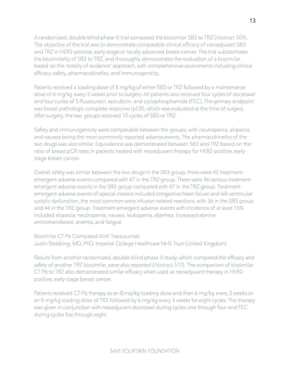A randomized, double-blind phase III trial compared the biosimilar SB3 to TRZ [\(Abstract 509\)](http://meetinglibrary.asco.org/record/145553/abstract). The objective of the trial was to demonstrate comparable clinical efficacy of neoadjuvant SB3 and TRZ in HER2-positive, early-stage or locally advanced breast cancer. The trial substantiates the biosimilarity of SB3 to TRZ, and thoroughly demonstrates the evaluation of a biosimilar based on the 'totality of evidence' approach, with comprehensive assessments including clinical efficacy, safety, pharmacokinetics, and immunogenicity.

Patients received a loading dose of 8 mg/kg of either SB3 or TRZ followed by a maintenance dose of 6 mg/kg every 3 weeks prior to surgery. All patients also received four cycles of docetaxel and four cycles of 5-fluorouracil, epirubicin, and cyclophosphamide (FEC). The primary endpoint was breast pathologic complete response (pCR), which was evaluated at the time of surgery. After surgery, the two groups received 10 cycles of SB3 or TRZ.

Safety and immunogenicity were comparable between the groups, with neutropenia, alopecia, and nausea being the most commonly reported adverse events. The pharmacokinetics of the two drugs was also similar. Equivalence was demonstrated between SB3 and TRZ based on the ratio of breast pCR rates in patients treated with neoadjuvant therapy for HER2-positive, earlystage breast cancer.

Overall safety was similar between the two drugs In the SB3 group, there were 42 treatmentemergent adverse events compared with 47 in the TRZ group. There were 46 serious treatmentemergent adverse events in the SB3 group compared with 47 in the TRZ group. Treatmentemergent adverse events of special interest included congestive heart failure and left ventricular systolic dysfunction; the most common were infusion-related reactions, with 36 in the SB3 group and 44 in the TRZ group. Treatment-emergent adverse events with incidence of at least 15% included alopecia, neutropenia, nausea, leukopenia, diarrhea, increased alanine aminotransferase, anemia, and fatigue.

Biosimilar CT-P6 Compared With Trastuzumab Justin Stebbing, MD, PhD, Imperial College Healthcare NHS Trust (United Kingdom)

Results from another randomized, double-blind phase III study, which compared the efficacy and safety of another TRZ biosimilar, were also reported [\(Abstract 510](http://meetinglibrary.asco.org/record/145550/abstract)). The comparison of biosimilar CT-P6 to TRZ also demonstrated similar efficacy when used as neoadjuvant therapy in HER2 positive, early-stage breast cancer.

Patients received CT-P6 therapy as an 8 mg/kg loading dose and then 6 mg/kg every 3 weeks or an 8 mg/kg loading dose of TRZ followed by 6 mg/kg every 3 weeks for eight cycles. The therapy was given in conjunction with neoadjuvant docetaxel during cycles one through four and FEC during cycles five through eight.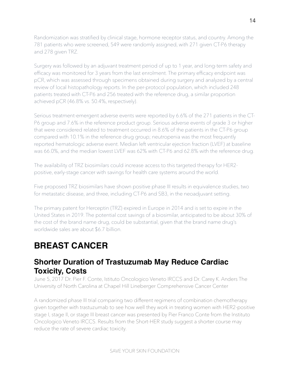Randomization was stratified by clinical stage, hormone receptor status, and country. Among the 781 patients who were screened, 549 were randomly assigned, with 271 given CT-P6 therapy and 278 given TRZ.

Surgery was followed by an adjuvant treatment period of up to 1 year, and long-term safety and efficacy was monitored for 3 years from the last enrolment. The primary efficacy endpoint was pCR, which was assessed through specimens obtained during surgery and analyzed by a central review of local histopathology reports. In the per-protocol population, which included 248 patients treated with CT-P6 and 256 treated with the reference drug, a similar proportion achieved pCR (46.8% vs. 50.4%, respectively).

Serious treatment-emergent adverse events were reported by 6.6% of the 271 patients in the CT-P6 group and 7.6% in the reference product group. Serious adverse events of grade 3 or higher that were considered related to treatment occurred in 8.6% of the patients in the CT-P6 group compared with 10.1% in the reference drug group; neutropenia was the most frequently reported hematologic adverse event. Median left ventricular ejection fraction (LVEF) at baseline was 66.0%, and the median lowest LVEF was 62% with CT-P6 and 62.8% with the reference drug.

The availability of TRZ biosimilars could increase access to this targeted therapy for HER2 positive, early-stage cancer with savings for health care systems around the world.

Five proposed TRZ biosimilars have shown positive phase III results in equivalence studies, two for metastatic disease, and three, including CT-P6 and SB3, in the neoadjuvant setting.

The primary patent for Herceptin (TRZ) expired in Europe in 2014 and is set to expire in the United States in 2019. The potential cost savings of a biosimilar, anticipated to be about 30% of the cost of the brand name drug, could be substantial, given that the brand name drug's worldwide sales are about \$6.7 billion.

# <span id="page-13-0"></span>**BREAST CANCER**

### <span id="page-13-1"></span>**Shorter Duration of Trastuzumab May Reduce Cardiac Toxicity, Costs**

June 5, 2017 Dr. Pier F. Conte, Istituto Oncologico Veneto IRCCS and Dr. Carey K. Anders The University of North Carolina at Chapel Hill Lineberger Comprehensive Cancer Center

A randomized phase III trial comparing two different regimens of combination chemotherapy given together with trastuzumab to see how well they work in treating women with HER2-positive stage I, stage II, or stage III breast cancer was presented by Pier Franco Conte from the Instituto Oncologico Veneto IRCCS. Results from the Short-HER study suggest a shorter course may reduce the rate of severe cardiac toxicity.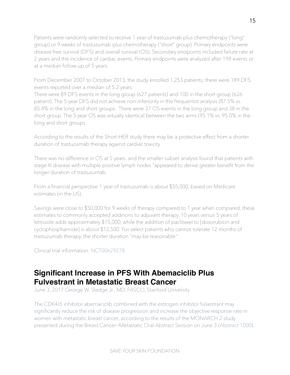Patients were randomly selected to receive 1 year of trastuzumab plus chemotherapy ("long" group) or 9 weeks of trastuzumab plus chemotherapy ("short" group). Primary endpoints were disease-free survival (DFS) and overall survival (OS). Secondary endpoints included failure rate at 2 years and the incidence of cardiac events. Primary endpoints were analyzed after 198 events or at a median follow-up of 5 years.

From December 2007 to October 2013, the study enrolled 1,253 patients; there were 189 DFS events reported over a median of 5.2 years.

There were 89 DFS events in the long group (627 patients) and 100 in the short group (626 patient). The 5-year DFS did not achieve non-inferiority in the frequentist analysis (87.5% vs. 85.4% in the long and short groups.. There were 37 OS events in the long group and 38 in the short group. The 5-year OS was virtually identical between the two arms (95.1% vs. 95.0% in the long and short groups.

According to the results of the Short-HER study there may be a protective effect from a shorter duration of trastuzumab therapy against cardiac toxicity.

There was no difference in OS at 5 years, and the smaller subset analysis found that patients with stage III disease with multiple positive lymph nodes "appeared to derive greater benefit from the longer duration of trastuzumab.

From a financial perspective 1 year of trastuzumab is about \$55,000, based on Medicare estimates (in the US).

Savings were close to \$50,000 for 9 weeks of therapy compared to 1 year when compared, these estimates to commonly accepted additions to adjuvant therapy, 10 years versus 5 years of letrozole adds approximately \$15,000, while the addition of paclitaxel to [doxorubicin and cyclophosphamide] is about \$12,500. For select patients who cannot tolerate 12 months of trastuzumab therapy, the shorter duration "may be reasonable."

Clinical trial information: [NCT00629278](http://clinicaltrials.gov/show/NCT00629278)

### <span id="page-14-0"></span>**Significant Increase in PFS With Abemaciclib Plus Fulvestrant in Metastatic Breast Cancer**

June 3, 2017 George W. Sledge Jr., MD, FASCO, Stanford University

The CDK4/6 inhibitor abemaciclib combined with the estrogen inhibitor fulvestrant may significantly reduce the risk of disease progression and increase the objective response rate in women with metastatic breast cancer, according to the results of the MONARCH 2 study presented during the Breast Cancer—Metastatic Oral Abstract Session on June 3 [\(Abstract 1000](http://meetinglibrary.asco.org/record/144891/abstract)).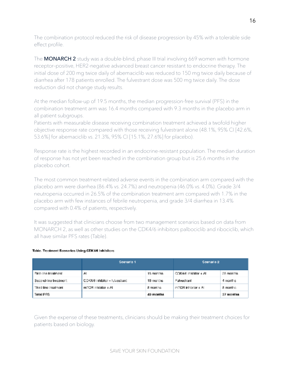The combination protocol reduced the risk of disease progression by 45% with a tolerable side effect profile.

The **MONARCH 2** study was a double-blind, phase III trial involving 669 women with hormone receptor–positive, HER2-negative advanced breast cancer resistant to endocrine therapy. The initial dose of 200 mg twice daily of abemaciclib was reduced to 150 mg twice daily because of diarrhea after 178 patients enrolled. The fulvestrant dose was 500 mg twice daily. The dose reduction did not change study results.

At the median follow-up of 19.5 months, the median progression-free survival (PFS) in the combination treatment arm was 16.4 months compared with 9.3 months in the placebo arm in all patient subgroups.

Patients with measurable disease receiving combination treatment achieved a twofold higher objective response rate compared with those receiving fulvestrant alone (48.1%, 95% CI [42.6%, 53.6%] for abemaciclib vs. 21.3%, 95% CI [15.1%, 27.6%] for placebo).

Response rate is the highest recorded in an endocrine-resistant population. The median duration of response has not yet been reached in the combination group but is 25.6 months in the placebo cohort.

The most common treatment-related adverse events in the combination arm compared with the placebo arm were diarrhea (86.4% vs. 24.7%) and neutropenia (46.0% vs. 4.0%). Grade 3/4 neutropenia occurred in 26.5% of the combination treatment arm compared with 1.7% in the placebo arm with few instances of febrile neutropenia, and grade 3/4 diarrhea in 13.4% compared with 0.4% of patients, respectively.

It was suggested that clinicians choose from two management scenarios based on data from MONARCH 2, as well as other studies on the CDK4/6 inhibitors palbociclib and ribociclib, which all have similar PFS rates (Table).

#### Table. Treatment Scenarios Using CDK4/6 Inhibitors

|                       | Scenario 1                     |           | Seenario 2                |           |
|-----------------------|--------------------------------|-----------|---------------------------|-----------|
| First-line treatment  | AI                             | 15 months | CDK4/6 inhibitor + AL     | 25 months |
| Second-line treatment | CDK4/6 inhibitor + futuestrant | 15 manths | Fulvestrant               | 4 months  |
| Third-line treatment. | $mTCP$ inhibitor + $AI$        | 8 martins | $mTGR$ inhibitor $\pm$ AL | 8 months  |
| <b>Total PFS</b>      |                                | 40 months |                           | 37 months |

Given the expense of these treatments, clinicians should be making their treatment choices for patients based on biology.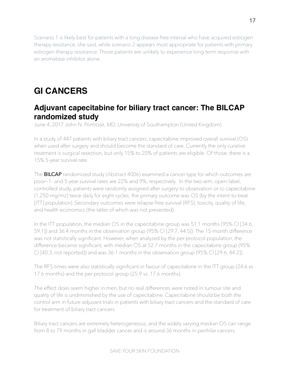Scenario 1 is likely best for patients with a long disease-free interval who have acquired estrogen therapy resistance, she said, while scenario 2 appears most appropriate for patients with primary estrogen therapy resistance. Those patients are unlikely to experience long-term response with an aromatase inhibitor alone.

# <span id="page-16-0"></span>**GI CANCERS**

### <span id="page-16-1"></span>**Adjuvant capecitabine for biliary tract cancer: The BILCAP randomized study**

June 4, 2017 John N. Primrose, MD, University of Southampton (United Kingdom)

In a study of 447 patients with biliary tract cancers, capecitabine improved overall survival (OS) when used after surgery and should become the standard of care. Currently the only curative treatment is surgical resection, but only 15% to 20% of patients are eligible. Of those, there is a 15% 5-year survival rate.

The **BILCAP** randomized study [\(Abstract 4006\)](http://meetinglibrary.asco.org/record/144518/abstract) examined a cancer type for which outcomes are poor—1- and 5-year survival rates are 22% and 9%, respectively. In the two-arm, open-label, controlled study, patients were randomly assigned after surgery to observation or to capecitabine (1,250 mg/m2) twice daily for eight cycles; the primary outcome was OS (by the intent-to-treat [ITT] population). Secondary outcomes were relapse-free survival (RFS), toxicity, quality of life, and health economics (the latter of which was not presented).

In the ITT population, the median OS in the capecitabine group was 51.1 months (95% CI [34.6, 59.1]) and 36.4 months in the observation group (95% CI [29.7, 44.5]). The 15-month difference was not statistically significant. However, when analyzed by the per-protocol population, the difference became significant, with median OS at 52.7 months in the capecitabine group (95% CI [40.3, not reported]) and was 36.1 months in the observation group (95% CI [29.6, 44.2]).

The RFS times were also statistically significant in favour of capecitabine in the ITT group (24.6 vs. 17.6 months) and the per-protocol group (25.9 vs. 17.6 months).

The effect does seem higher in men, but no real differences were noted in tumour site and quality of life is undiminished by the use of capecitabine. Capecitabine should be both the control arm in future adjuvant trials in patients with biliary tract cancers and the standard of care for treatment of biliary tract cancers.

Biliary tract cancers are extremely heterogeneous, and the widely varying median OS can range from 8 to 79 months in gall bladder cancer and is around 36 months in perihilar cancers.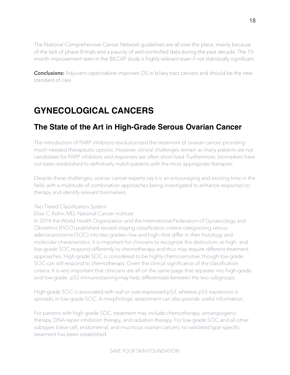The National Comprehensive Cancer Network guidelines are all over the place, mainly because of the lack of phase III trials and a paucity of well-controlled data during the past decade. The 15 month improvement seen in the BILCAP study is highly relevant even if not statistically significant.

**Conclusions:** Adjuvant capecitabine improves OS in biliary tract cancers and should be the new standard of care.

# <span id="page-17-0"></span>**GYNECOLOGICAL CANCERS**

### <span id="page-17-1"></span>**The State of the Art in High-Grade Serous Ovarian Cancer**

The introduction of PARP inhibitors revolutionized the treatment of ovarian cancer, providing much-needed therapeutic options. However, clinical challenges remain as many patients are not candidates for PARP inhibitors and responses are often short-lived. Furthermore, biomarkers have not been established to definitively match patients with the most appropriate therapies.

Despite these challenges, ovarian cancer experts say it is an encouraging and exciting time in the field, with a multitude of combination approaches being investigated to enhance responses to therapy and identify relevant biomarkers.

#### *Two-Tiered Classification System*

#### Elise C. Kohn, MD, National Cancer Institute

In 2014 the World Health Organization and the International Federation of Gynaecology and Obstetrics (FIGO) published revised staging classification criteria categorizing serous adenocarcinoma (SOC) into two grades—low and high—that differ in their histology and molecular characteristics. It is important for clinicians to recognize this distinction, as high- and low-grade SOC respond differently to chemotherapy and thus may require different treatment approaches. High-grade SOC is considered to be highly chemosensitive, though low-grade SOC can still respond to chemotherapy. Given the clinical significance of the classification criteria, It is very important that clinicians are all on the same page that separate into high-grade and low-grade. p53 immunostaining may help differentiate between the two subgroups.

High-grade SOC is associated with null or over-expressed p53, whereas p53 expression is sporadic in low-grade SOC. A morphologic assessment can also provide useful information.

For patients with high-grade SOC, treatment may include chemotherapy, antiangiogenic therapy, DNA repair inhibition therapy, and radiation therapy. For low-grade SOC and all other subtypes (clear-cell, endometrial, and mucinous ovarian cancer), no validated type-specific treatment has been established.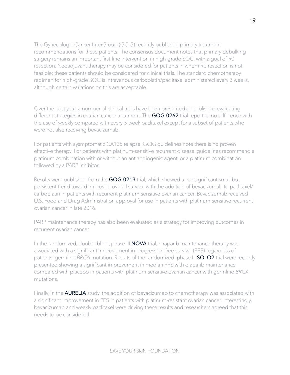The Gynecologic Cancer InterGroup (GCIG) recently published primary treatment recommendations for these patients. The consensus document notes that primary debulking surgery remains an important first-line intervention in high-grade SOC, with a goal of R0 resection. Neoadjuvant therapy may be considered for patients in whom R0 resection is not feasible; these patients should be considered for clinical trials. The standard chemotherapy regimen for high-grade SOC is intravenous carboplatin/paclitaxel administered every 3 weeks, although certain variations on this are acceptable.

Over the past year, a number of clinical trials have been presented or published evaluating different strategies in ovarian cancer treatment. The **GOG-0262** trial reported no difference with the use of weekly compared with every-3-week paclitaxel except for a subset of patients who were not also receiving bevacizumab.

For patients with aysmptomatic CA125 relapse, GCIG guidelines note there is no proven effective therapy. For patients with platinum-sensitive recurrent disease, guidelines recommend a platinum combination with or without an antiangiogenic agent, or a platinum combination followed by a PARP inhibitor.

Results were published from the GOG-0213 trial, which showed a nonsignificant small but persistent trend toward improved overall survival with the addition of bevacizumab to paclitaxel/ carboplatin in patients with recurrent platinum-sensitive ovarian cancer. Bevacizumab received U.S. Food and Drug Administration approval for use in patients with platinum-sensitive recurrent ovarian cancer in late 2016.

PARP maintenance therapy has also been evaluated as a strategy for improving outcomes in recurrent ovarian cancer.

In the randomized, double-blind, phase III **NOVA** trial, niraparib maintenance therapy was associated with a significant improvement in progression-free survival (PFS) regardless of patients' germline *BRCA* mutation. Results of the randomized, phase III **SOLO2** trial were recently presented showing a significant improvement in median PFS with olaparib maintenance compared with placebo in patients with platinum-sensitive ovarian cancer with germline *BRCA* mutations.

Finally, in the **AURELIA** study, the addition of bevacizumab to chemotherapy was associated with a significant improvement in PFS in patients with platinum-resistant ovarian cancer. Interestingly, bevacizumab and weekly paclitaxel were driving these results and researchers agreed that this needs to be considered.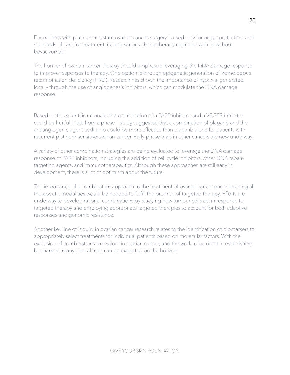For patients with platinum-resistant ovarian cancer, surgery is used only for organ protection, and standards of care for treatment include various chemotherapy regimens with or without bevacizumab.

The frontier of ovarian cancer therapy should emphasize leveraging the DNA damage response to improve responses to therapy. One option is through epigenetic generation of homologous recombination deficiency (HRD). Research has shown the importance of hypoxia, generated locally through the use of angiogenesis inhibitors, which can modulate the DNA damage response.

Based on this scientific rationale, the combination of a PARP inhibitor and a VEGFR inhibitor could be fruitful. Data from a phase II study suggested that a combination of olaparib and the antiangiogenic agent cediranib could be more effective than olaparib alone for patients with recurrent platinum-sensitive ovarian cancer. Early-phase trials in other cancers are now underway.

A variety of other combination strategies are being evaluated to leverage the DNA damage response of PARP inhibitors, including the addition of cell cycle inhibitors, other DNA repairtargeting agents, and immunotherapeutics. Although these approaches are still early in development, there is a lot of optimism about the future.

The importance of a combination approach to the treatment of ovarian cancer encompassing all therapeutic modalities would be needed to fulfill the promise of targeted therapy. Efforts are underway to develop rational combinations by studying how tumour cells act in response to targeted therapy and employing appropriate targeted therapies to account for both adaptive responses and genomic resistance.

Another key line of inquiry in ovarian cancer research relates to the identification of biomarkers to appropriately select treatments for individual patients based on molecular factors. With the explosion of combinations to explore in ovarian cancer, and the work to be done in establishing biomarkers, many clinical trials can be expected on the horizon.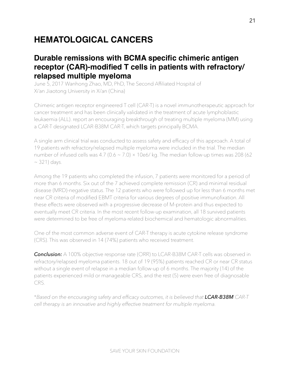# <span id="page-20-0"></span>**HEMATOLOGICAL CANCERS**

### <span id="page-20-1"></span>**Durable remissions with BCMA specific chimeric antigen receptor (CAR)-modified T cells in patients with refractory/ relapsed multiple myeloma**

June 5, 2017 Wanhong Zhao, MD, PhD, The Second Affiliated Hospital of Xi'an Jiaotong University in Xi'an (China)

Chimeric antigen receptor engineered T cell (CAR-T) is a novel immunotherapeutic approach for cancer treatment and has been clinically validated in the treatment of acute lymphoblastic leukaemia (ALL). report an encouraging breakthrough of treating multiple myeloma (MM) using a CAR-T designated LCAR-B38M CAR-T, which targets principally BCMA.

A single arm clinical trial was conducted to assess safety and efficacy of this approach. A total of 19 patients with refractory/relapsed multiple myeloma were included in the trial. The median number of infused cells was 4.7 (0.6  $\sim$  7.0)  $\times$  10e6/kg. The median follow-up times was 208 (62  $\sim$  321) days.

Among the 19 patients who completed the infusion, 7 patients were monitored for a period of more than 6 months. Six out of the 7 achieved complete remission (CR) and minimal residual disease (MRD)-negative status. The 12 patients who were followed up for less than 6 months met near CR criteria of modified EBMT criteria for various degrees of positive immunofixation. All these effects were observed with a progressive decrease of M-protein and thus expected to eventually meet CR criteria. In the most recent follow-up examination, all 18 survived patients were determined to be free of myeloma-related biochemical and hematologic abnormalities.

One of the most common adverse event of CAR-T therapy is acute cytokine release syndrome (CRS). This was observed in 14 (74%) patients who received treatment.

**Conclusion:** A 100% objective response rate (ORR) to LCAR-B38M CAR-T cells was observed in refractory/relapsed myeloma patients. 18 out of 19 (95%) patients reached CR or near CR status without a single event of relapse in a median follow-up of 6 months. The majority (14) of the patients experienced mild or manageable CRS, and the rest (5) were even free of diagnosable CRS.

\**Based on the encouraging safety and efficacy outcomes, it is believed that LCAR-B38M CAR-T cell therapy is an innovative and highly effective treatment for multiple myeloma.*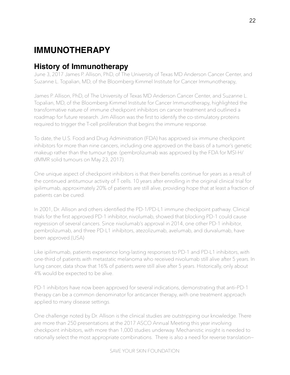# <span id="page-21-0"></span>**IMMUNOTHERAPY**

## <span id="page-21-1"></span>**History of Immunotherapy**

June 3, 2017 James P. Allison, PhD, of The University of Texas MD Anderson Cancer Center, and Suzanne L. Topalian, MD, of the Bloomberg-Kimmel Institute for Cancer Immunotherapy,

James P. Allison, PhD, of The University of Texas MD Anderson Cancer Center, and Suzanne L. Topalian, MD, of the Bloomberg-Kimmel Institute for Cancer Immunotherapy, highlighted the transformative nature of immune checkpoint inhibitors on cancer treatment and outlined a roadmap for future research. Jim Allison was the first to identify the co-stimulatory proteins required to trigger the T-cell proliferation that begins the immune response.

To date, the U.S. Food and Drug Administration (FDA) has approved six immune checkpoint inhibitors for more than nine cancers, including one approved on the basis of a tumor's genetic makeup rather than the tumour type. (pembrolizumab was approved by the FDA for MSI-H/ dMMR solid tumours on May 23, 2017).

One unique aspect of checkpoint inhibitors is that their benefits continue for years as a result of the continued antitumour activity of T cells. 10 years after enrolling in the original clinical trial for ipilimumab, approximately 20% of patients are still alive, providing hope that at least a fraction of patients can be cured.

In 2001, Dr. Allison and others identified the PD-1/PD-L1 immune checkpoint pathway. Clinical trials for the first approved PD-1 inhibitor, nivolumab, showed that blocking PD-1 could cause regression of several cancers. Since nivolumab's approval in 2014, one other PD-1 inhibitor, pembrolizumab, and three PD-L1 inhibitors, atezolizumab, avelumab, and durvalumab, have been approved.(USA)

Like ipilimumab, patients experience long-lasting responses to PD-1 and PD-L1 inhibitors, with one-third of patients with metastatic melanoma who received nivolumab still alive after 5 years. In lung cancer, data show that 16% of patients were still alive after 5 years. Historically, only about 4% would be expected to be alive.

PD-1 inhibitors have now been approved for several indications, demonstrating that anti–PD-1 therapy can be a common denominator for anticancer therapy, with one treatment approach applied to many disease settings.

One challenge noted by Dr. Allison is the clinical studies are outstripping our knowledge. There are more than 250 presentations at the 2017 ASCO Annual Meeting this year involving checkpoint inhibitors, with more than 1,000 studies underway. Mechanistic insight is needed to rationally select the most appropriate combinations. There is also a need for reverse translation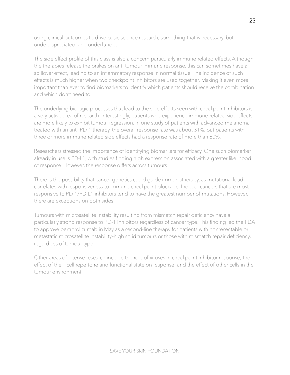using clinical outcomes to drive basic science research, something that is necessary, but underappreciated, and underfunded.

The side effect profile of this class is also a concern particularly immune-related effects. Although the therapies release the brakes on anti-tumour immune response, this can sometimes have a spillover effect, leading to an inflammatory response in normal tissue. The incidence of such effects is much higher when two checkpoint inhibitors are used together. Making it even more important than ever to find biomarkers to identify which patients should receive the combination and which don't need to.

The underlying biologic processes that lead to the side effects seen with checkpoint inhibitors is a very active area of research. Interestingly, patients who experience immune-related side effects are more likely to exhibit tumour regression. In one study of patients with advanced melanoma treated with an anti–PD-1 therapy, the overall response rate was about 31%, but patients with three or more immune-related side effects had a response rate of more than 80%.

Researchers stressed the importance of identifying biomarkers for efficacy. One such biomarker already in use is PD-L1, with studies finding high expression associated with a greater likelihood of response. However, the response differs across tumours.

There is the possibility that cancer genetics could guide immunotherapy, as mutational load correlates with responsiveness to immune checkpoint blockade. Indeed, cancers that are most responsive to PD-1/PD-L1 inhibitors tend to have the greatest number of mutations. However, there are exceptions on both sides.

Tumours with microsatellite instability resulting from mismatch repair deficiency have a particularly strong response to PD-1 inhibitors regardless of cancer type. This finding led the FDA to approve pembrolizumab in May as a second-line therapy for patients with nonresectable or metastatic microsatellite instability–high solid tumours or those with mismatch repair deficiency, regardless of tumour type.

Other areas of intense research include the role of viruses in checkpoint inhibitor response; the effect of the T-cell repertoire and functional state on response; and the effect of other cells in the tumour environment.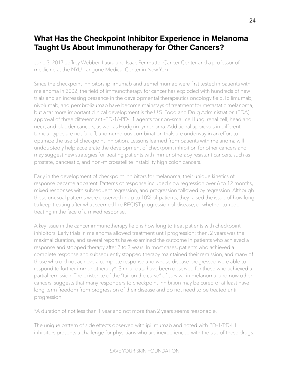## <span id="page-23-0"></span>**What Has the Checkpoint Inhibitor Experience in Melanoma Taught Us About Immunotherapy for Other Cancers?**

June 3, 2017 Jeffrey Webber, Laura and Isaac Perlmutter Cancer Center and a professor of medicine at the NYU-Langone Medical Center in New York.

Since the checkpoint inhibitors ipilimumab and tremelimumab were first tested in patients with melanoma in 2002, the field of immunotherapy for cancer has exploded with hundreds of new trials and an increasing presence in the developmental therapeutics oncology field. Ipilimumab, nivolumab, and pembrolizumab have become mainstays of treatment for metastatic melanoma, but a far more important clinical development is the U.S. Food and Drug Administration (FDA) approval of three different anti–PD-1/–PD-L1 agents for non–small cell lung, renal cell, head and neck, and bladder cancers, as well as Hodgkin lymphoma. Additional approvals in different tumour types are not far off, and numerous combination trials are underway in an effort to optimize the use of checkpoint inhibition. Lessons learned from patients with melanoma will undoubtedly help accelerate the development of checkpoint inhibition for other cancers and may suggest new strategies for treating patients with immunotherapy-resistant cancers, such as prostate, pancreatic, and non–microsatellite instability high colon cancers.

Early in the development of checkpoint inhibitors for melanoma, their unique kinetics of response became apparent. Patterns of response included slow regression over 6 to 12 months, mixed responses with subsequent regression, and progression followed by regression. Although these unusual patterns were observed in up to 10% of patients, they raised the issue of how long to keep treating after what seemed like RECIST progression of disease, or whether to keep treating in the face of a mixed response.

A key issue in the cancer immunotherapy field is how long to treat patients with checkpoint inhibitors. Early trials in melanoma allowed treatment until progression; then, 2 years was the maximal duration, and several reports have examined the outcome in patients who achieved a response and stopped therapy after 2 to 3 years. In most cases, patients who achieved a complete response and subsequently stopped therapy maintained their remission, and many of those who did not achieve a complete response and whose disease progressed were able to respond to further immunotherapy\*. Similar data have been observed for those who achieved a partial remission. The existence of the "tail on the curve" of survival in melanoma, and now other cancers, suggests that many responders to checkpoint inhibition may be cured or at least have long-term freedom from progression of their disease and do not need to be treated until progression.

\*A duration of not less than 1 year and not more than 2 years seems reasonable.

The unique pattern of side effects observed with ipilimumab and noted with PD-1/PD-L1 inhibitors presents a challenge for physicians who are inexperienced with the use of these drugs.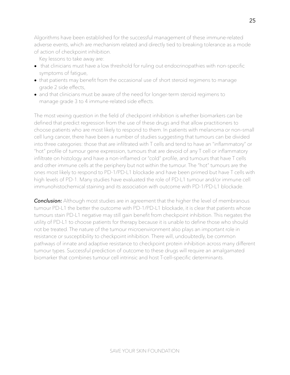Algorithms have been established for the successful management of these immune-related adverse events, which are mechanism related and directly tied to breaking tolerance as a mode of action of checkpoint inhibition.

Key lessons to take away are:

- that clinicians must have a low threshold for ruling out endocrinopathies with non-specific symptoms of fatigue,
- that patients may benefit from the occasional use of short steroid regimens to manage grade 2 side effects,
- and that clinicians must be aware of the need for longer-term steroid regimens to manage grade 3 to 4 immune-related side effects.

The most vexing question in the field of checkpoint inhibition is whether biomarkers can be defined that predict regression from the use of these drugs and that allow practitioners to choose patients who are most likely to respond to them. In patients with melanoma or non–small cell lung cancer, there have been a number of studies suggesting that tumours can be divided into three categories: those that are infiltrated with T cells and tend to have an "inflammatory" or "hot" profile of tumour gene expression, tumours that are devoid of any T cell or inflammatory infiltrate on histology and have a non-inflamed or "cold" profile, and tumours that have T cells and other immune cells at the periphery but not within the tumour. The "hot" tumours are the ones most likely to respond to PD-1/PD-L1 blockade and have been primed but have T cells with high levels of PD-1. Many studies have evaluated the role of PD-L1 tumour and/or immune cell immunohistochemical staining and its association with outcome with PD-1/PD-L1 blockade.

**Conclusion:** Although most studies are in agreement that the higher the level of membranous tumour PD-L1 the better the outcome with PD-1/PD-L1 blockade, it is clear that patients whose tumours stain PD-L1 negative may still gain benefit from checkpoint inhibition. This negates the utility of PD-L1 to choose patients for therapy because it is unable to define those who should not be treated. The nature of the tumour microenvironment also plays an important role in resistance or susceptibility to checkpoint inhibition. There will, undoubtedly, be common pathways of innate and adaptive resistance to checkpoint protein inhibition across many different tumour types. Successful prediction of outcome to these drugs will require an amalgamated biomarker that combines tumour cell intrinsic and host T-cell–specific determinants.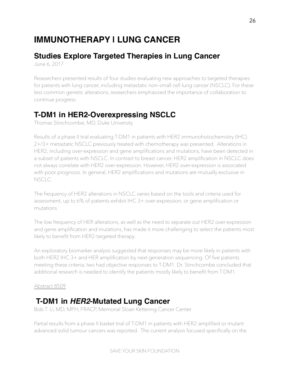# <span id="page-25-0"></span>**IMMUNOTHERAPY | LUNG CANCER**

# <span id="page-25-1"></span>**Studies Explore Targeted Therapies in Lung Cancer**

June 6, 2017

Researchers presented results of four studies evaluating new approaches to targeted therapies for patients with lung cancer, including metastatic non–small cell lung cancer (NSCLC). For these less common genetic alterations, researchers emphasized the importance of collaboration to continue progress.

# <span id="page-25-2"></span>**T-DM1 in HER2-Overexpressing NSCLC**

Thomas Stinchcombe, MD, Duke University

Results of a phase II trial evaluating T-DM1 in patients with HER2 immunohistochemistry (IHC) 2+/3+ metastatic NSCLC previously treated with chemotherapy was presented. Alterations in HER2, including over-expression and gene amplifications and mutations, have been detected in a subset of patients with NSCLC. In contrast to breast cancer, HER2 amplification in NSCLC does not always correlate with HER2 over-expression. However, HER2 over-expression is associated with poor prognosis. In general, HER2 amplifications and mutations are mutually exclusive in NSCLC.

The frequency of HER2 alterations in NSCLC varies based on the tools and criteria used for assessment; up to 6% of patients exhibit IHC 3+ over-expression, or gene amplification or mutations.

The low frequency of HER alterations, as well as the need to separate out HER2 over-expression and gene amplification and mutations, has made it more challenging to select the patients most likely to benefit from HER2-targeted therapy.

An exploratory biomarker analysis suggested that responses may be more likely in patients with both HER2 IHC 3+ and HER amplification by next-generation sequencing. Of five patients meeting these criteria, two had objective responses to T-DM1. Dr. Stinchcombe concluded that additional research is needed to identify the patients mostly likely to benefit from T-DM1.

#### [Abstract 8509](http://abstracts.asco.org/199/AbstView_199_186300.html)

## <span id="page-25-3"></span> **T-DM1 in** *HER2***-Mutated Lung Cancer**

Bob T. Li, MD, MPH, FRACP, Memorial Sloan Kettering Cancer Center

Partial results from a phase II basket trial of T-DM1 in patients with HER2-amplified or mutant advanced solid tumour cancers was reported. The current analysis focused specifically on the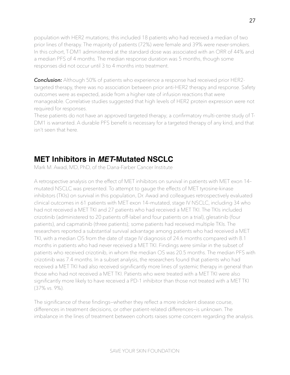population with HER2 mutations; this included 18 patients who had received a median of two prior lines of therapy. The majority of patients (72%) were female and 39% were never-smokers. In this cohort, T-DM1 administered at the standard dose was associated with an ORR of 44% and a median PFS of 4 months. The median response duration was 5 months, though some responses did not occur until 3 to 4 months into treatment.

*Conclusion:* Although 50% of patients who experience a response had received prior HER2 targeted therapy, there was no association between prior anti-HER2 therapy and response. Safety outcomes were as expected, aside from a higher rate of infusion reactions that were manageable. Correlative studies suggested that high levels of HER2 protein expression were not required for responses.

These patients do not have an approved targeted therapy; a confirmatory multi-centre study of T-DM1 is warranted. A durable PFS benefit is necessary for a targeted therapy of any kind, and that isn't seen that here.

## <span id="page-26-0"></span>**MET Inhibitors in** *MET***-Mutated NSCLC**

Mark M. Awad, MD, PhD, of the Dana-Farber Cancer Institute

A retrospective analysis on the effect of MET inhibitors on survival in patients with MET exon 14– mutated NSCLC was presented. To attempt to gauge the effects of MET tyrosine-kinase inhibitors (TKIs) on survival in this population, Dr. Awad and colleagues retrospectively evaluated clinical outcomes in 61 patients with MET exon 14–mutated, stage IV NSCLC, including 34 who had not received a MET TKI and 27 patients who had received a MET TKI. The TKIs included crizotinib (administered to 20 patients off-label and four patients on a trial), glesatinib (four patients), and capmatinib (three patients); some patients had received multiple TKIs. The researchers reported a substantial survival advantage among patients who had received a MET TKI, with a median OS from the date of stage IV diagnosis of 24.6 months compared with 8.1 months in patients who had never received a MET TKI. Findings were similar in the subset of patients who received crizotinib, in whom the median OS was 20.5 months. The median PFS with crizotinib was 7.4 months. In a subset analysis, the researchers found that patients who had received a MET TKI had also received significantly more lines of systemic therapy in general than those who had not received a MET TKI. Patients who were treated with a MET TKI were also significantly more likely to have received a PD-1 inhibitor than those not treated with a MET TKI (37% vs. 9%).

The significance of these findings—whether they reflect a more indolent disease course, differences in treatment decisions, or other patient-related differences—is unknown. The imbalance in the lines of treatment between cohorts raises some concern regarding the analysis.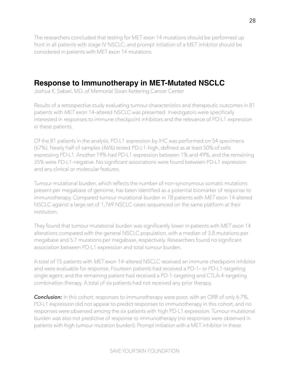The researchers concluded that testing for MET exon 14 mutations should be performed up front in all patients with stage IV NSCLC, and prompt initiation of a MET inhibitor should be considered in patients with MET exon 14 mutations.

## <span id="page-27-0"></span>**Response to Immunotherapy in MET-Mutated NSCLC**

Joshua K. Sabari, MD, of Memorial Sloan Kettering Cancer Center

Results of a retrospective study evaluating tumour characteristics and therapeutic outcomes in 81 patients with *MET* exon 14–altered NSCLC was presented. Investigators were specifically interested in responses to immune checkpoint inhibitors and the relevance of PD-L1 expression in these patients.

Of the 81 patients in the analysis, PD-L1 expression by IHC was performed on 54 specimens (67%). Nearly half of samples (46%) tested PD-L1–high, defined as at least 50% of cells expressing PD-L1. Another 19% had PD-L1 expression between 1% and 49%, and the remaining 35% were PD-L1–negative. No significant associations were found between PD-L1 expression and any clinical or molecular features.

Tumour mutational burden, which reflects the number of non-synonymous somatic mutations present per megabase of genome, has been identified as a potential biomarker of response to immunotherapy. Compared tumour mutational burden in 78 patients with *MET* exon 14-altered NSCLC against a large set of 1,769 NSCLC cases sequenced on the same platform at their institution.

They found that tumour mutational burden was significantly lower in patients with *MET* exon 14 alterations compared with the general NSCLC population, with a median of 3.8 mutations per megabase and 5.7 mutations per megabase, respectively. Researchers found no significant association between PD-L1 expression and total tumour burden.

A total of 15 patients with *MET* exon 14–altered NSCLC received an immune checkpoint inhibitor and were evaluable for response. Fourteen patients had received a PD-1– or PD-L1–targeting single agent, and the remaining patient had received a PD-1–targeting and CTLA-4–targeting combination therapy. A total of six patients had not received any prior therapy.

**Conclusion:** In this cohort, responses to immunotherapy were poor, with an ORR of only 6.7%. PD-L1 expression did not appear to predict responses to immunotherapy in this cohort, and no responses were observed among the six patients with high PD-L1 expression. Tumour mutational burden was also not predictive of response to immunotherapy (no responses were observed in patients with high tumour mutation burden). Prompt initiation with a MET inhibitor in these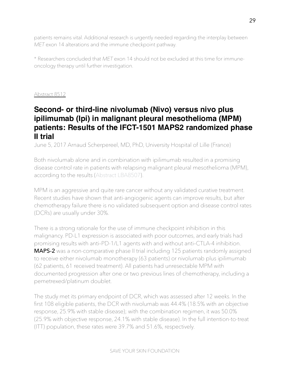patients remains vital. Additional research is urgently needed regarding the interplay between *MET* exon 14 alterations and the immune checkpoint pathway.

\* Researchers concluded that *MET* exon 14 should not be excluded at this time for immuneoncology therapy until further investigation.

#### [Abstract 8512](http://abstracts.asco.org/199/AbstView_199_189471.html)

## <span id="page-28-0"></span>**Second- or third-line nivolumab (Nivo) versus nivo plus ipilimumab (Ipi) in malignant pleural mesothelioma (MPM) patients: Results of the IFCT-1501 MAPS2 randomized phase II trial**

June 5, 2017 Arnaud Scherpereel, MD, PhD, University Hospital of Lille (France)

Both nivolumab alone and in combination with ipilimumab resulted in a promising disease control rate in patients with relapsing malignant pleural mesothelioma (MPM), according to the results [\(Abstract LBA8507\)](http://meetinglibrary.asco.org/record/145342/abstract).

MPM is an aggressive and quite rare cancer without any validated curative treatment. Recent studies have shown that anti-angiogenic agents can improve results, but after chemotherapy failure there is no validated subsequent option and disease control rates (DCRs) are usually under 30%.

There is a strong rationale for the use of immune checkpoint inhibition in this malignancy. PD-L1 expression is associated with poor outcomes, and early trials had promising results with anti–PD-1/L1 agents with and without anti–CTLA-4 inhibition. **MAPS-2** was a non-comparative phase II trial including 125 patients randomly assigned to receive either nivolumab monotherapy (63 patients) or nivolumab plus ipilimumab (62 patients, 61 received treatment). All patients had unresectable MPM with documented progression after one or two previous lines of chemotherapy, including a pemetrexed/platinum doublet.

The study met its primary endpoint of DCR, which was assessed after 12 weeks. In the first 108 eligible patients, the DCR with nivolumab was 44.4% (18.5% with an objective response, 25.9% with stable disease); with the combination regimen, it was 50.0% (25.9% with objective response, 24.1% with stable disease). In the full intention-to-treat (ITT) population, these rates were 39.7% and 51.6%, respectively.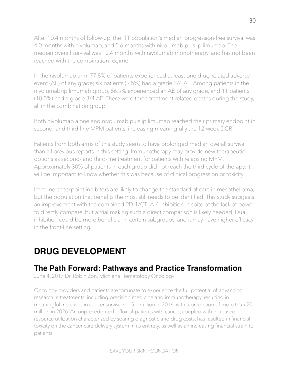After 10.4 months of follow-up, the ITT population's median progression-free survival was 4.0 months with nivolumab, and 5.6 months with nivolumab plus ipilimumab. The median overall survival was 10.4 months with nivolumab monotherapy, and has not been reached with the combination regimen.

In the nivolumab arm, 77.8% of patients experienced at least one drug-related adverse event (AE) of any grade; six patients (9.5%) had a grade 3/4 AE. Among patients in the nivolumab/ipilimumab group, 86.9% experienced an AE of any grade, and 11 patients (18.0%) had a grade 3/4 AE. There were three treatment-related deaths during the study, all in the combination group.

Both nivolumab alone and nivolumab plus ipilimumab reached their primary endpoint in second- and third-line MPM patients, increasing meaningfully the 12-week DCR.

Patients from both arms of this study seem to have prolonged median overall survival than all previous reports in this setting. Immunotherapy may provide new therapeutic options as second- and third-line treatment for patients with relapsing MPM. Approximately 30% of patients in each group did not reach the third cycle of therapy. It will be important to know whether this was because of clinical progression or toxicity.

Immune checkpoint inhibitors are likely to change the standard of care in mesothelioma, but the population that benefits the most still needs to be identified. This study suggests an improvement with the combined PD-1/CTLA-4 inhibition in spite of the lack of power to directly compare, but a trial making such a direct comparison is likely needed. Dual inhibition could be more beneficial in certain subgroups, and it may have higher efficacy in the front-line setting.

# <span id="page-29-0"></span>**DRUG DEVELOPMENT**

## <span id="page-29-1"></span>**The Path Forward: Pathways and Practice Transformation**

June 4, 2017 Dr. Robin Zon, Michiana Hematology Oncology

Oncology providers and patients are fortunate to experience the full potential of advancing research in treatments, including precision medicine and immunotherapy, resulting in meaningful increases in cancer survivors—15.1 million in 2016, with a prediction of more than 20 million in 2026. An unprecedented influx of patients with cancer, coupled with increased resource utilization characterized by soaring diagnostic and drug costs, has resulted in financial toxicity on the cancer care delivery system in its entirety, as well as an increasing financial strain to patients.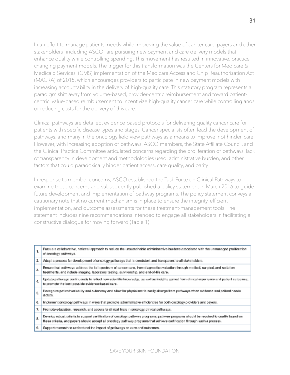In an effort to manage patients' needs while improving the value of cancer care, payers and other stakeholders—including ASCO—are pursuing new payment and care delivery models that enhance quality while controlling spending. This movement has resulted in innovative, practicechanging payment models. The trigger for this transformation was the Centers for Medicare & Medicaid Services' (CMS) implementation of the Medicare Access and Chip Reauthorization Act (MACRA) of 2015, which encourages providers to participate in new payment models with increasing accountability in the delivery of high-quality care. This statutory program represents a paradigm shift away from volume-based, provider-centric reimbursement and toward patientcentric, value-based reimbursement to incentivize high-quality cancer care while controlling and/ or reducing costs for the delivery of this care.

Clinical pathways are detailed, evidence-based protocols for delivering quality cancer care for patients with specific disease types and stages. Cancer specialists often lead the development of pathways, and many in the oncology field view pathways as a means to improve, not hinder, care. However, with increasing adoption of pathways, ASCO members, the State Affiliate Council, and the Clinical Practice Committee articulated concerns regarding the proliferation of pathways, lack of transparency in development and methodologies used, administrative burden, and other factors that could paradoxically hinder patient access, care quality, and parity.

In response to member concerns, ASCO established the Task Force on Clinical Pathways to examine these concerns and subsequently published a policy statement in March 2016 to guide future development and implementation of pathway programs. The policy statement conveys a cautionary note that no current mechanism is in place to ensure the integrity, efficient implementation, and outcome assessments for these treatment-management tools. The statement includes nine recommendations intended to engage all stakeholders in facilitating a constructive dialogue for moving forward (Table 1).

|    | Pursue a collaborative, national approach to seduce the unsustainable administrative burdens associated with the unmanaged proliferation<br>1.<br>of oncology pathways.                                                                                             |
|----|---------------------------------------------------------------------------------------------------------------------------------------------------------------------------------------------------------------------------------------------------------------------|
| 2. | Adapt a process for development of oncology pathways that is consistent and transparent to all stakeholders.                                                                                                                                                        |
|    | Ensure that pathways address the full spectrum of caneer care, from diagnostic evaluation through medical, surgical, and radiation<br>з.<br>treatments, and include imaging. Isboratory testing, survivorship, and end-of-life care.                                |
|    | Update pathways continuously to reflect new scientific knowledge, as well as insights gained from clinical experience and patient outcomes,<br>4. .<br>to promote the best possible evidence-based care.                                                            |
|    | Recognize patient variability and autonomy and allow for physicians to easily diverge from pathways when evidence and patient needs<br>5.<br>dictate.                                                                                                               |
| 6. | implement oncology pathways in ways that promote administrative efficiencies for both oncology providers and payers.                                                                                                                                                |
| т. | Promote education, research, and access to clinical trials in oncology clinical pattnesss.                                                                                                                                                                          |
| Ř. | Develop robust criteria to support certification of oncology pathway programs; pathway programs should be required to qualify based on<br>these criteria, and payers should accept all oncology pathway programs that achieve certification through such a process. |
|    | Support research to understand the impact of pathways on care and outcomes.<br>9. I                                                                                                                                                                                 |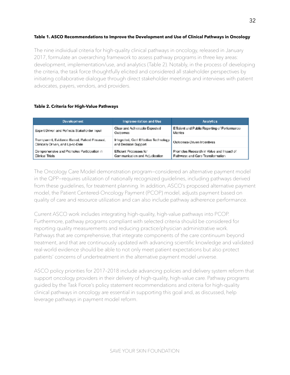#### **Table 1. ASCO Recommendations to Improve the Development and Use of Clinical Pathways in Oncology**

The nine individual criteria for high-quality clinical pathways in oncology, released in January 2017, formulate an overarching framework to assess pathway programs in three key areas: development, implementation/use, and analytics (Table 2). Notably, in the process of developing the criteria, the task force thoughtfully elicited and considered all stakeholder perspectives by initiating collaborative dialogue through direct stakeholder meetings and interviews with patient advocates, payers, vendors, and providers.

#### **Table 2. Criteria for High-Value Pathways**

| Development                                                                        | Implementation and Use                                          | <b>Analytics</b>                                                             |
|------------------------------------------------------------------------------------|-----------------------------------------------------------------|------------------------------------------------------------------------------|
| Expert Driven and Reflects Stakeholder Input                                       | Clear and Achievable Expected<br>Outcomes                       | Efficient and Public Reporting of Performance<br>Metrica                     |
| Transparent, Evidence-Based, Patient-Focused,<br>Clinically Driven, and Up-to-Date | Integrated, Gost-Effective Technology  <br>and Decision Support | Outcomes-Driven Incentives                                                   |
| Comprehensive and Promotes Participation in<br>Clinical Trials                     | Efficient Processes for<br>Communication and Adjudication       | Promotes Research in Value and Impact of<br>Pathways and Care Transformation |

The Oncology Care Model demonstration program—considered an alternative payment model in the QPP—requires utilization of nationally recognized guidelines, including pathways derived from these guidelines, for treatment planning. In addition, ASCO's proposed alternative payment model, the Patient Centered-Oncology Payment (PCOP) model, adjusts payment based on quality of care and resource utilization and can also include pathway adherence performance.

Current ASCO work includes integrating high-quality, high-value pathways into PCOP. Furthermore, pathway programs compliant with selected criteria should be considered for reporting quality measurements and reducing practice/physician administrative work. Pathways that are comprehensive, that integrate components of the care continuum beyond treatment, and that are continuously updated with advancing scientific knowledge and validated real-world evidence should be able to not only meet patient expectations but also protect patients' concerns of undertreatment in the alternative payment model universe.

ASCO policy priorities for 2017–2018 include advancing policies and delivery system reform that support oncology providers in their delivery of high-quality, high-value care. Pathway programs guided by the Task Force's policy statement recommendations and criteria for high-quality clinical pathways in oncology are essential in supporting this goal and, as discussed, help leverage pathways in payment model reform.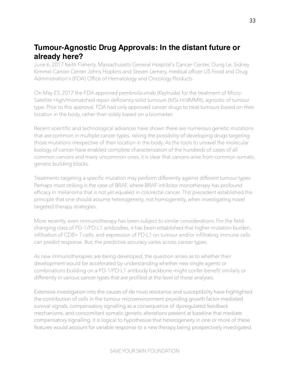## <span id="page-32-0"></span>**Tumour-Agnostic Drug Approvals: In the distant future or already here?**

June 6, 2017 Keith Flaherty, Massachusetts General Hospital's Cancer Center, Dung Le, Sidney Kimmel Cancer Center Johns Hopkins and Steven Lemery, medical officer US Food and Drug Administration's (FDA) Office of Hematology and Oncology Products

On May 23, 2017 the FDA approved pembrolizumab (Keytruda) for the treatment of Micro-Satellite High/mismatched repair deficiency solid tumours (MSI-H/dMMR), agnostic of tumour type. Prior to this approval, FDA had only approved cancer drugs to treat tumours based on their location in the body, rather than solely based on a biomarker.

Recent scientific and technological advances have shown there are numerous genetic mutations that are common in multiple cancer types, raising the possibility of developing drugs targeting those mutations irrespective of their location in the body. As the tools to unravel the molecular biology of cancer have enabled complete characterization of the hundreds of cases of all common cancers and many uncommon ones, it is clear that cancers arise from common somatic genetic building blocks.

Treatments targeting a specific mutation may perform differently against different tumour types. Perhaps most striking is the case of BRAF, where BRAF inhibitor monotherapy has profound efficacy in melanoma that is not yet equaled in colorectal cancer. This precedent established the principle that one should assume heterogeneity, not homogeneity, when investigating novel targeted therapy strategies.

More recently, even immunotherapy has been subject to similar considerations. For the fieldchanging class of PD-1/PD-L1 antibodies, it has been established that higher mutation burden, infiltration of CD8+ T cells, and expression of PD-L1 on tumour and/or infiltrating immune cells can predict response. But, the predictive accuracy varies across cancer types.

As new immunotherapies are being developed, the question arises as to whether their development would be accelerated by understanding whether new single agents or combinations building on a PD-1/PD-L1 antibody backbone might confer benefit similarly or differently in various cancer types that are profiled at the level of these analyses.

Extensive investigation into the causes of de novo resistance and susceptibility have highlighted the contribution of cells in the tumour microenvironment providing growth factor-mediated survival signals, compensatory signalling as a consequence of dysregulated feedback mechanisms, and concomitant somatic genetic alterations present at baseline that mediate compensatory signalling. It is logical to hypothesize that heterogeneity in one or more of these features would account for variable response to a new therapy being prospectively investigated.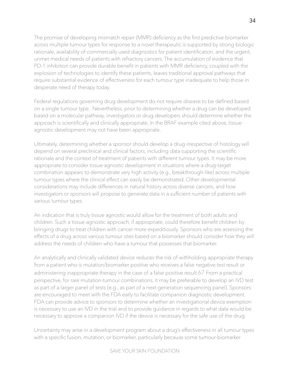The promise of developing mismatch repair (MMR) deficiency as the first predictive biomarker across multiple tumour types for response to a novel therapeutic is supported by strong biologic rationale, availability of commercially used diagnostics for patient identification, and the urgent, unmet medical needs of patients with refractory cancers. The accumulation of evidence that PD-1 inhibition can provide durable benefit in patients with MMR deficiency, coupled with the explosion of technologies to identify these patients, leaves traditional approval pathways that require substantial evidence of effectiveness for each tumour type inadequate to help those in desperate need of therapy today.

Federal regulations governing drug development do not require disease to be defined based on a single tumour type. Nevertheless, prior to determining whether a drug can be developed based on a molecular pathway, investigators or drug developers should determine whether the approach is scientifically and clinically appropriate. In the BRAF example cited above, tissueagnostic development may not have been appropriate.

Ultimately, determining whether a sponsor should develop a drug irrespective of histology will depend on several preclinical and clinical factors, including data supporting the scientific rationale and the context of treatment of patients with different tumour types. It may be more appropriate to consider tissue-agnostic development in situations where a drug-target combination appears to demonstrate very high activity (e.g., breakthrough-like) across multiple tumour types where the clinical effect can easily be demonstrated. Other developmental considerations may include differences in natural history across diverse cancers, and how investigators or sponsors will propose to generate data in a sufficient number of patients with various tumour types.

An indication that is truly tissue agnostic would allow for the treatment of both adults and children. Such a tissue-agnostic approach, if appropriate, could therefore benefit children by bringing drugs to treat children with cancer more expeditiously. Sponsors who are assessing the effects of a drug across various tumour sites based on a biomarker should consider how they will address the needs of children who have a tumour that possesses that biomarker.

An analytically and clinically validated device reduces the risk of withholding appropriate therapy from a patient who is mutation/biomarker positive who receives a false negative test result or administering inappropriate therapy in the case of a false positive result.67 From a practical perspective, for rare mutation-tumour combinations, it may be preferable to develop an IVD test as part of a larger panel of tests (e.g., as part of a next-generation sequencing panel). Sponsors are encouraged to meet with the FDA early to facilitate companion diagnostic development. FDA can provide advice to sponsors to determine whether an investigational device exemption is necessary to use an IVD in the trial and to provide guidance in regards to what data would be necessary to approve a companion IVD if the device is necessary for the safe use of the drug.

Uncertainty may arise in a development program about a drug's effectiveness in all tumour types with a specific fusion, mutation, or biomarker, particularly because some tumour-biomarker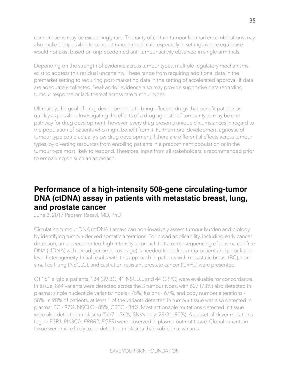combinations may be exceedingly rare. The rarity of certain tumour-biomarker combinations may also make it impossible to conduct randomized trials, especially in settings where equipoise would not exist based on unprecedented anti-tumour activity observed in single-arm trials.

Depending on the strength of evidence across tumour types, multiple regulatory mechanisms exist to address this residual uncertainty. These range from requiring additional data in the premarket setting to requiring post-marketing data in the setting of accelerated approval. If data are adequately collected, "real-world" evidence also may provide supportive data regarding tumour response or lack thereof across rare tumour types.

Ultimately, the goal of drug development is to bring effective drugs that benefit patients as quickly as possible. Investigating the effects of a drug agnostic of tumour type may be one pathway for drug development; however, every drug presents unique circumstances in regard to the population of patients who might benefit from it. Furthermore, development agnostic of tumour type could actually slow drug development if there are differential effects across tumour types, by diverting resources from enrolling patients in a predominant population or in the tumour type most likely to respond. Therefore, input from all stakeholders is recommended prior to embarking on such an approach.

# <span id="page-34-0"></span>**Performance of a high-intensity 508-gene circulating-tumor DNA (ctDNA) assay in patients with metastatic breast, lung, and prostate cancer**

June 3, 2017 Pedram Razavi, MD, PhD

Circulating tumour DNA (ctDNA ) assays can non-invasively assess tumour burden and biology by identifying tumour-derived somatic alterations. For broad applicability, including early cancer detection, an unprecedented high-intensity approach (ultra-deep sequencing of plasma cell-free DNA (cfDNA) with broad genomic coverage) is needed to address intra-patient and populationlevel heterogeneity. Initial results with this approach in patients with metastatic breast (BC), nonsmall cell lung (NSCLC), and castration-resistant prostate cancer (CRPC) were presented.

Of 161 eligible patients, 124 (39 BC, 41 NSCLC, and 44 CRPC) were evaluable for concordance. In tissue, 864 variants were detected across the 3 tumour types, with 627 (73%) also detected in plasma: single nucleotide variants/indels - 75%, fusions - 67%, and copy number alterations - 58%. In 90% of patients, at least 1 of the variants detected in tumour tissue was also detected in plasma: BC - 97%, NSCLC - 85%, CRPC - 84%. Most actionable mutations detected in tissue were also detected in plasma (54/71, 76%; SNVs only: 28/31, 90%). A subset of driver mutations (eg. in ESR1, PIK3CA, *ERBB2*, *EGFR*) were observed in plasma but not tissue. Clonal variants in tissue were more likely to be detected in plasma than sub-clonal variants.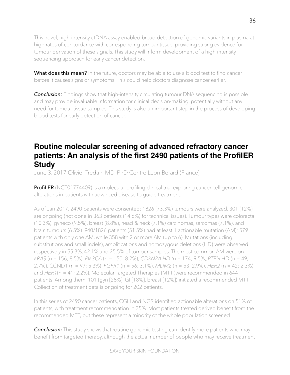This novel, high-intensity ctDNA assay enabled broad detection of genomic variants in plasma at high rates of concordance with corresponding tumour tissue, providing strong evidence for tumour-derivation of these signals. This study will inform development of a high-intensity sequencing approach for early cancer detection.

What does this mean? In the future, doctors may be able to use a blood test to find cancer before it causes signs or symptoms. This could help doctors diagnose cancer earlier.

*Conclusion:* Findings show that high-intensity circulating tumour DNA sequencing is possible and may provide invaluable information for clinical decision-making, potentially without any need for tumour tissue samples. This study is also an important step in the process of developing blood tests for early detection of cancer.

# <span id="page-35-0"></span>**Routine molecular screening of advanced refractory cancer patients: An analysis of the first 2490 patients of the ProfilER Study**

June 3. 2017 Olivier Tredan, MD, PhD Centre Leon Berard (France)

**ProfiLER** (NCT01774409) is a molecular profiling clinical trial exploring cancer cell genomic alterations in patients with advanced disease to guide treatment.

As of Jan 2017, 2490 patients were consented; 1826 (73.3%) tumours were analyzed, 301 (12%) are ongoing (not done in 363 patients (14.6%) for technical issues). Tumour types were colorectal (10.3%), gyneco (9.5%), breast (8.8%), head & neck (7.1%) carcinomas, sarcomas (7.1%), and brain tumours (6.5%). 940/1826 patients (51.5%) had at least 1 actionable mutation (AM): 579 patients with only one AM, while 358 with 2 or more AM (up to 6). Mutations (including substitutions and small indels), amplifications and homozygous deletions (HD) were observed respectively in 55.3%, 42.1% and 25.5% of tumour samples. The most common AM were on *KRAS* (n = 156; 8.5%), *PIK3CA* (n = 150; 8.2%), *CDKN2A HD (*n = 174; 9.5%*),PTEN* HD (n = 49, 2.7%), CCND1 (n = 97; 5.3%), *FGFR1* (n = 56; 3.1%), *MDM2* (n = 53; 2.9%), *HER2* (n = 42; 2.3%) and *HER1*(n = 41; 2.2%). Molecular Targeted Therapies (MTT )were recommended in 644 patients. Among them, 101 (gyn [28%], GI [18%], breast [12%]) initiated a recommended MTT. Collection of treatment data is ongoing for 202 patients.

In this series of 2490 cancer patients, CGH and NGS identified actionable alterations on 51% of patients, with treatment recommendation in 35%. Most patients treated derived benefit from the recommended MTT, but these represent a minority of the whole population screened.

**Conclusion:** This study shows that routine genomic testing can identify more patients who may benefit from targeted therapy, although the actual number of people who may receive treatment

SAVE YOUR SKIN FOUNDATION